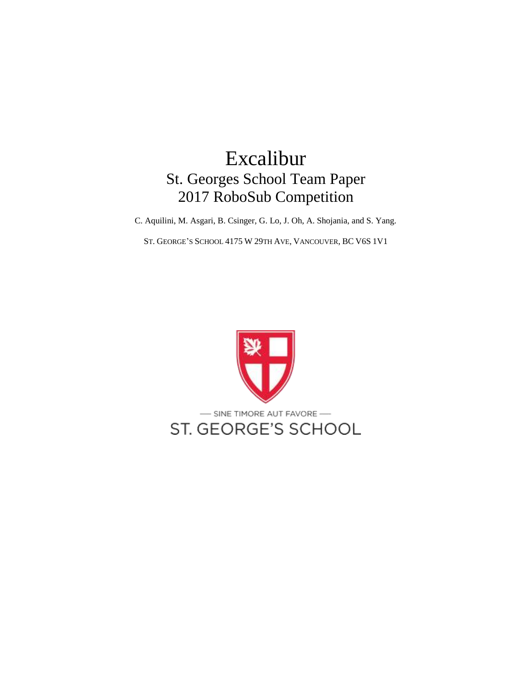# Excalibur St. Georges School Team Paper 2017 RoboSub Competition

C. Aquilini, M. Asgari, B. Csinger, G. Lo, J. Oh, A. Shojania, and S. Yang.

ST. GEORGE'S SCHOOL 4175 W 29TH AVE, VANCOUVER, BC V6S 1V1

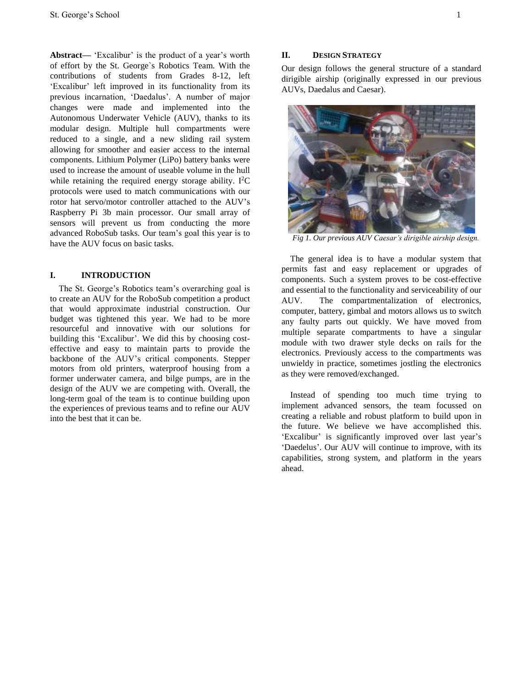**Abstract—** 'Excalibur' is the product of a year's worth of effort by the St. George`s Robotics Team. With the contributions of students from Grades 8-12, left 'Excalibur' left improved in its functionality from its previous incarnation, 'Daedalus'. A number of major changes were made and implemented into the Autonomous Underwater Vehicle (AUV), thanks to its modular design. Multiple hull compartments were reduced to a single, and a new sliding rail system allowing for smoother and easier access to the internal components. Lithium Polymer (LiPo) battery banks were used to increase the amount of useable volume in the hull while retaining the required energy storage ability. I<sup>2</sup>C protocols were used to match communications with our rotor hat servo/motor controller attached to the AUV's Raspberry Pi 3b main processor. Our small array of sensors will prevent us from conducting the more advanced RoboSub tasks. Our team's goal this year is to have the AUV focus on basic tasks.

#### **I. INTRODUCTION**

The St. George's Robotics team's overarching goal is to create an AUV for the RoboSub competition a product that would approximate industrial construction. Our budget was tightened this year. We had to be more resourceful and innovative with our solutions for building this 'Excalibur'. We did this by choosing costeffective and easy to maintain parts to provide the backbone of the AUV's critical components. Stepper motors from old printers, waterproof housing from a former underwater camera, and bilge pumps, are in the design of the AUV we are competing with. Overall, the long-term goal of the team is to continue building upon the experiences of previous teams and to refine our AUV into the best that it can be.

## **II. DESIGN STRATEGY**

Our design follows the general structure of a standard dirigible airship (originally expressed in our previous AUVs, Daedalus and Caesar).



*Fig 1. Our previous AUV Caesar's dirigible airship design.*

The general idea is to have a modular system that permits fast and easy replacement or upgrades of components. Such a system proves to be cost-effective and essential to the functionality and serviceability of our AUV. The compartmentalization of electronics, computer, battery, gimbal and motors allows us to switch any faulty parts out quickly. We have moved from multiple separate compartments to have a singular module with two drawer style decks on rails for the electronics. Previously access to the compartments was unwieldy in practice, sometimes jostling the electronics as they were removed/exchanged.

Instead of spending too much time trying to implement advanced sensors, the team focussed on creating a reliable and robust platform to build upon in the future. We believe we have accomplished this. 'Excalibur' is significantly improved over last year's 'Daedelus'. Our AUV will continue to improve, with its capabilities, strong system, and platform in the years ahead.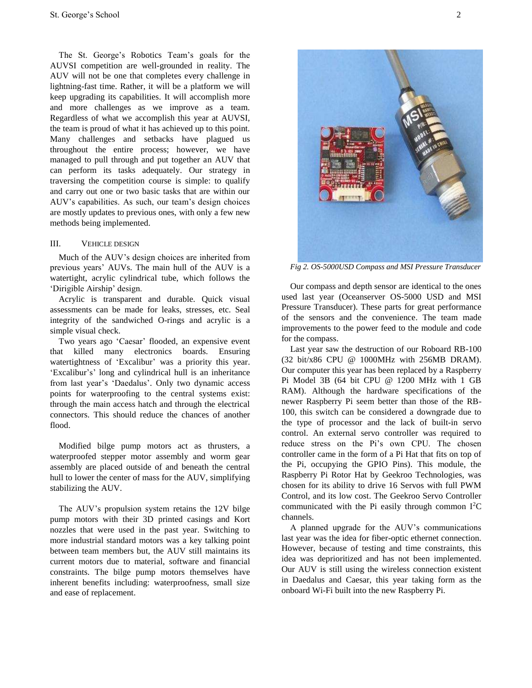The St. George's Robotics Team's goals for the AUVSI competition are well-grounded in reality. The AUV will not be one that completes every challenge in lightning-fast time. Rather, it will be a platform we will keep upgrading its capabilities. It will accomplish more and more challenges as we improve as a team. Regardless of what we accomplish this year at AUVSI, the team is proud of what it has achieved up to this point. Many challenges and setbacks have plagued us throughout the entire process; however, we have managed to pull through and put together an AUV that can perform its tasks adequately. Our strategy in traversing the competition course is simple: to qualify and carry out one or two basic tasks that are within our AUV's capabilities. As such, our team's design choices are mostly updates to previous ones, with only a few new methods being implemented.

#### III. VEHICLE DESIGN

Much of the AUV's design choices are inherited from previous years' AUVs. The main hull of the AUV is a watertight, acrylic cylindrical tube, which follows the 'Dirigible Airship' design.

Acrylic is transparent and durable. Quick visual assessments can be made for leaks, stresses, etc. Seal integrity of the sandwiched O-rings and acrylic is a simple visual check.

Two years ago 'Caesar' flooded, an expensive event that killed many electronics boards. Ensuring watertightness of 'Excalibur' was a priority this year. 'Excalibur's' long and cylindrical hull is an inheritance from last year's 'Daedalus'. Only two dynamic access points for waterproofing to the central systems exist: through the main access hatch and through the electrical connectors. This should reduce the chances of another flood.

Modified bilge pump motors act as thrusters, a waterproofed stepper motor assembly and worm gear assembly are placed outside of and beneath the central hull to lower the center of mass for the AUV, simplifying stabilizing the AUV.

The AUV's propulsion system retains the 12V bilge pump motors with their 3D printed casings and Kort nozzles that were used in the past year. Switching to more industrial standard motors was a key talking point between team members but, the AUV still maintains its current motors due to material, software and financial constraints. The bilge pump motors themselves have inherent benefits including: waterproofness, small size and ease of replacement.



*Fig 2. OS-5000USD Compass and MSI Pressure Transducer*

Our compass and depth sensor are identical to the ones used last year (Oceanserver OS-5000 USD and MSI Pressure Transducer). These parts for great performance of the sensors and the convenience. The team made improvements to the power feed to the module and code for the compass.

Last year saw the destruction of our Roboard RB-100 (32 bit/x86 CPU @ 1000MHz with 256MB DRAM). Our computer this year has been replaced by a Raspberry Pi Model 3B (64 bit CPU @ 1200 MHz with 1 GB RAM). Although the hardware specifications of the newer Raspberry Pi seem better than those of the RB-100, this switch can be considered a downgrade due to the type of processor and the lack of built-in servo control. An external servo controller was required to reduce stress on the Pi's own CPU. The chosen controller came in the form of a Pi Hat that fits on top of the Pi, occupying the GPIO Pins). This module, the Raspberry Pi Rotor Hat by Geekroo Technologies, was chosen for its ability to drive 16 Servos with full PWM Control, and its low cost. The Geekroo Servo Controller communicated with the Pi easily through common  $I<sup>2</sup>C$ channels.

A planned upgrade for the AUV's communications last year was the idea for fiber-optic ethernet connection. However, because of testing and time constraints, this idea was deprioritized and has not been implemented. Our AUV is still using the wireless connection existent in Daedalus and Caesar, this year taking form as the onboard Wi-Fi built into the new Raspberry Pi.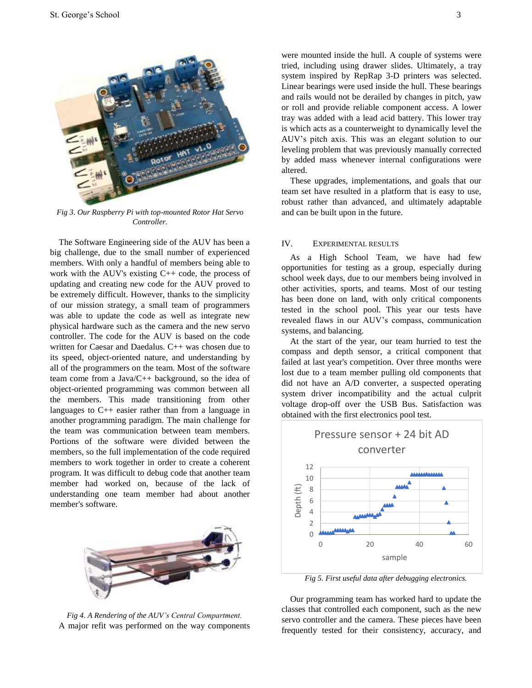

*Fig 3. Our Raspberry Pi with top-mounted Rotor Hat Servo Controller.* 

The Software Engineering side of the AUV has been a big challenge, due to the small number of experienced members. With only a handful of members being able to work with the AUV's existing C++ code, the process of updating and creating new code for the AUV proved to be extremely difficult. However, thanks to the simplicity of our mission strategy, a small team of programmers was able to update the code as well as integrate new physical hardware such as the camera and the new servo controller. The code for the AUV is based on the code written for Caesar and Daedalus. C++ was chosen due to its speed, object-oriented nature, and understanding by all of the programmers on the team. Most of the software team come from a Java/C++ background, so the idea of object-oriented programming was common between all the members. This made transitioning from other languages to C++ easier rather than from a language in another programming paradigm. The main challenge for the team was communication between team members. Portions of the software were divided between the members, so the full implementation of the code required members to work together in order to create a coherent program. It was difficult to debug code that another team member had worked on, because of the lack of understanding one team member had about another member's software.



*Fig 4. A Rendering of the AUV's Central Compartment.* A major refit was performed on the way components

were mounted inside the hull. A couple of systems were tried, including using drawer slides. Ultimately, a tray system inspired by RepRap 3-D printers was selected. Linear bearings were used inside the hull. These bearings and rails would not be derailed by changes in pitch, yaw or roll and provide reliable component access. A lower tray was added with a lead acid battery. This lower tray is which acts as a counterweight to dynamically level the AUV's pitch axis. This was an elegant solution to our leveling problem that was previously manually corrected by added mass whenever internal configurations were altered.

These upgrades, implementations, and goals that our team set have resulted in a platform that is easy to use, robust rather than advanced, and ultimately adaptable and can be built upon in the future.

#### IV. EXPERIMENTAL RESULTS

As a High School Team, we have had few opportunities for testing as a group, especially during school week days, due to our members being involved in other activities, sports, and teams. Most of our testing has been done on land, with only critical components tested in the school pool. This year our tests have revealed flaws in our AUV's compass, communication systems, and balancing.

At the start of the year, our team hurried to test the compass and depth sensor, a critical component that failed at last year's competition. Over three months were lost due to a team member pulling old components that did not have an A/D converter, a suspected operating system driver incompatibility and the actual culprit voltage drop-off over the USB Bus. Satisfaction was obtained with the first electronics pool test.



*Fig 5. First useful data after debugging electronics.*

Our programming team has worked hard to update the classes that controlled each component, such as the new servo controller and the camera. These pieces have been frequently tested for their consistency, accuracy, and